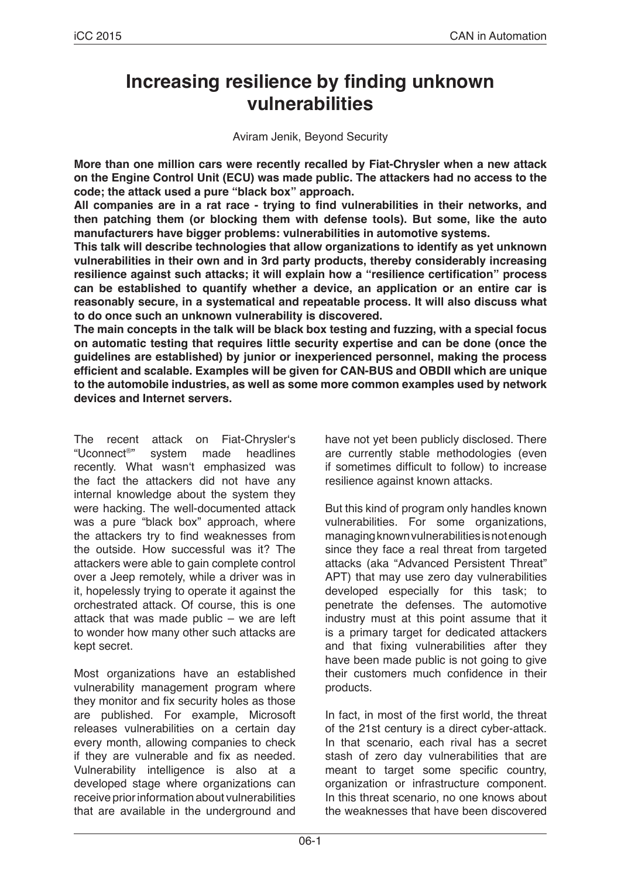# **Increasing resilience by finding unknown vulnerabilities**

Aviram Jenik, Beyond Security

**More than one million cars were recently recalled by Fiat-Chrysler when a new attack on the Engine Control Unit (ECU) was made public. The attackers had no access to the code; the attack used a pure "black box" approach.**

**All companies are in a rat race - trying to find vulnerabilities in their networks, and then patching them (or blocking them with defense tools). But some, like the auto manufacturers have bigger problems: vulnerabilities in automotive systems.**

**This talk will describe technologies that allow organizations to identify as yet unknown vulnerabilities in their own and in 3rd party products, thereby considerably increasing resilience against such attacks; it will explain how a "resilience certification" process can be established to quantify whether a device, an application or an entire car is reasonably secure, in a systematical and repeatable process. It will also discuss what to do once such an unknown vulnerability is discovered.**

**The main concepts in the talk will be black box testing and fuzzing, with a special focus on automatic testing that requires little security expertise and can be done (once the guidelines are established) by junior or inexperienced personnel, making the process efficient and scalable. Examples will be given for CAN-BUS and OBDII which are unique to the automobile industries, as well as some more common examples used by network devices and Internet servers.**

The recent attack on Fiat-Chrysler's<br>"Uconnect®" system made headlines system made headlines recently. What wasn't emphasized was the fact the attackers did not have any internal knowledge about the system they were hacking. The well-documented attack was a pure "black box" approach, where the attackers try to find weaknesses from the outside. How successful was it? The attackers were able to gain complete control over a Jeep remotely, while a driver was in it, hopelessly trying to operate it against the orchestrated attack. Of course, this is one attack that was made public – we are left to wonder how many other such attacks are kept secret.

Most organizations have an established vulnerability management program where they monitor and fix security holes as those are published. For example, Microsoft releases vulnerabilities on a certain day every month, allowing companies to check if they are vulnerable and fix as needed. Vulnerability intelligence is also at a developed stage where organizations can receive prior information about vulnerabilities that are available in the underground and have not yet been publicly disclosed. There are currently stable methodologies (even if sometimes difficult to follow) to increase resilience against known attacks.

But this kind of program only handles known vulnerabilities. For some organizations, managing known vulnerabilities is not enough since they face a real threat from targeted attacks (aka "Advanced Persistent Threat" APT) that may use zero day vulnerabilities developed especially for this task; to penetrate the defenses. The automotive industry must at this point assume that it is a primary target for dedicated attackers and that fixing vulnerabilities after they have been made public is not going to give their customers much confidence in their products.

In fact, in most of the first world, the threat of the 21st century is a direct cyber-attack. In that scenario, each rival has a secret stash of zero day vulnerabilities that are meant to target some specific country, organization or infrastructure component. In this threat scenario, no one knows about the weaknesses that have been discovered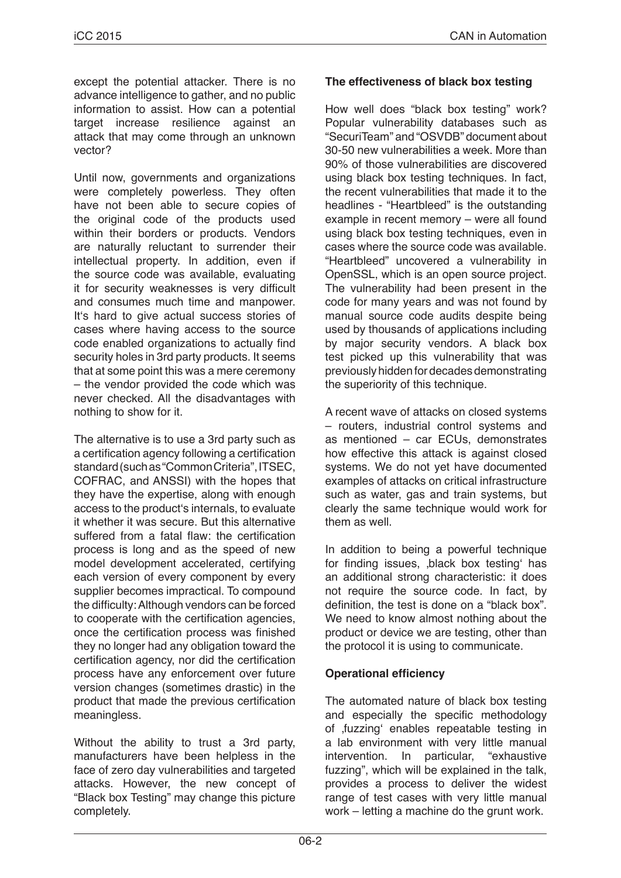except the potential attacker. There is no advance intelligence to gather, and no public information to assist. How can a potential target increase resilience against an attack that may come through an unknown vector?

Until now, governments and organizations were completely powerless. They often have not been able to secure copies of the original code of the products used within their borders or products. Vendors are naturally reluctant to surrender their intellectual property. In addition, even if the source code was available, evaluating it for security weaknesses is very difficult and consumes much time and manpower. It's hard to give actual success stories of cases where having access to the source code enabled organizations to actually find security holes in 3rd party products. It seems that at some point this was a mere ceremony – the vendor provided the code which was never checked. All the disadvantages with nothing to show for it.

The alternative is to use a 3rd party such as a certification agency following a certification standard (such as "Common Criteria", ITSEC, COFRAC, and ANSSI) with the hopes that they have the expertise, along with enough access to the product's internals, to evaluate it whether it was secure. But this alternative suffered from a fatal flaw: the certification process is long and as the speed of new model development accelerated, certifying each version of every component by every supplier becomes impractical. To compound the difficulty: Although vendors can be forced to cooperate with the certification agencies, once the certification process was finished they no longer had any obligation toward the certification agency, nor did the certification process have any enforcement over future version changes (sometimes drastic) in the product that made the previous certification meaningless.

Without the ability to trust a 3rd party, manufacturers have been helpless in the face of zero day vulnerabilities and targeted attacks. However, the new concept of "Black box Testing" may change this picture completely.

## **The effectiveness of black box testing**

How well does "black box testing" work? Popular vulnerability databases such as "SecuriTeam" and "OSVDB" document about 30-50 new vulnerabilities a week. More than 90% of those vulnerabilities are discovered using black box testing techniques. In fact, the recent vulnerabilities that made it to the headlines - "Heartbleed" is the outstanding example in recent memory – were all found using black box testing techniques, even in cases where the source code was available. "Heartbleed" uncovered a vulnerability in OpenSSL, which is an open source project. The vulnerability had been present in the code for many years and was not found by manual source code audits despite being used by thousands of applications including by major security vendors. A black box test picked up this vulnerability that was previously hidden for decades demonstrating the superiority of this technique.

A recent wave of attacks on closed systems – routers, industrial control systems and as mentioned – car ECUs, demonstrates how effective this attack is against closed systems. We do not yet have documented examples of attacks on critical infrastructure such as water, gas and train systems, but clearly the same technique would work for them as well.

In addition to being a powerful technique for finding issues, black box testing has an additional strong characteristic: it does not require the source code. In fact, by definition, the test is done on a "black box". We need to know almost nothing about the product or device we are testing, other than the protocol it is using to communicate.

## **Operational efficiency**

The automated nature of black box testing and especially the specific methodology of fuzzing' enables repeatable testing in a lab environment with very little manual<br>intervention. In particular. "exhaustive intervention. In particular, fuzzing", which will be explained in the talk, provides a process to deliver the widest range of test cases with very little manual work – letting a machine do the grunt work.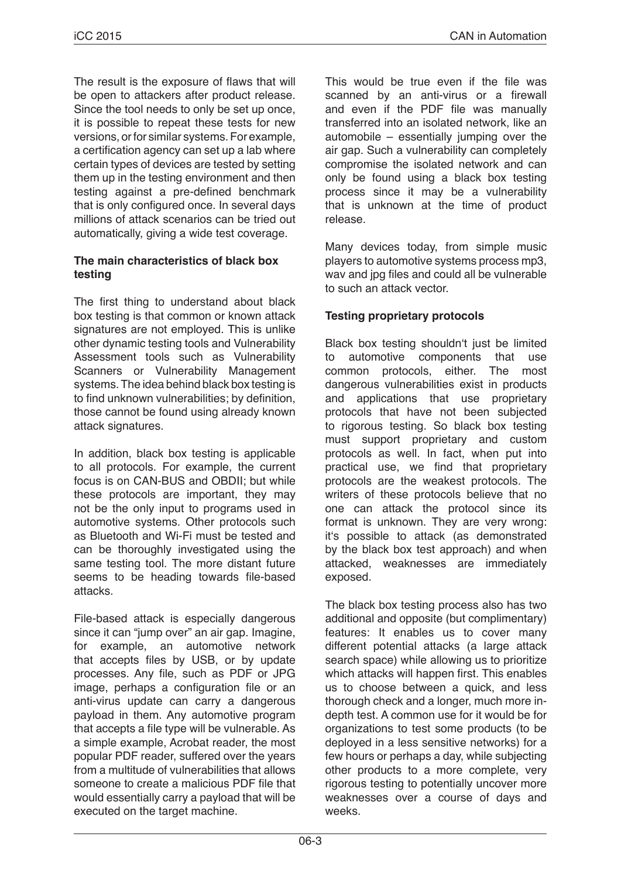The result is the exposure of flaws that will be open to attackers after product release. Since the tool needs to only be set up once, it is possible to repeat these tests for new versions, or for similar systems. For example, a certification agency can set up a lab where certain types of devices are tested by setting them up in the testing environment and then testing against a pre-defined benchmark that is only configured once. In several days millions of attack scenarios can be tried out automatically, giving a wide test coverage.

## **The main characteristics of black box testing**

The first thing to understand about black box testing is that common or known attack signatures are not employed. This is unlike other dynamic testing tools and Vulnerability Assessment tools such as Vulnerability Scanners or Vulnerability Management systems. The idea behind black box testing is to find unknown vulnerabilities; by definition, those cannot be found using already known attack signatures.

In addition, black box testing is applicable to all protocols. For example, the current focus is on CAN-BUS and OBDII; but while these protocols are important, they may not be the only input to programs used in automotive systems. Other protocols such as Bluetooth and Wi-Fi must be tested and can be thoroughly investigated using the same testing tool. The more distant future seems to be heading towards file-based attacks.

File-based attack is especially dangerous since it can "jump over" an air gap. Imagine, for example, an automotive network that accepts files by USB, or by update processes. Any file, such as PDF or JPG image, perhaps a configuration file or an anti-virus update can carry a dangerous payload in them. Any automotive program that accepts a file type will be vulnerable. As a simple example, Acrobat reader, the most popular PDF reader, suffered over the years from a multitude of vulnerabilities that allows someone to create a malicious PDF file that would essentially carry a payload that will be executed on the target machine.

This would be true even if the file was scanned by an anti-virus or a firewall and even if the PDF file was manually transferred into an isolated network, like an automobile – essentially jumping over the air gap. Such a vulnerability can completely compromise the isolated network and can only be found using a black box testing process since it may be a vulnerability that is unknown at the time of product release.

Many devices today, from simple music players to automotive systems process mp3, wav and jpg files and could all be vulnerable to such an attack vector.

## **Testing proprietary protocols**

Black box testing shouldn't just be limited to automotive components that use common protocols, either. The most dangerous vulnerabilities exist in products and applications that use proprietary protocols that have not been subjected to rigorous testing. So black box testing must support proprietary and custom protocols as well. In fact, when put into practical use, we find that proprietary protocols are the weakest protocols. The writers of these protocols believe that no one can attack the protocol since its format is unknown. They are very wrong: it's possible to attack (as demonstrated by the black box test approach) and when attacked, weaknesses are immediately exposed.

The black box testing process also has two additional and opposite (but complimentary) features: It enables us to cover many different potential attacks (a large attack search space) while allowing us to prioritize which attacks will happen first. This enables us to choose between a quick, and less thorough check and a longer, much more indepth test. A common use for it would be for organizations to test some products (to be deployed in a less sensitive networks) for a few hours or perhaps a day, while subjecting other products to a more complete, very rigorous testing to potentially uncover more weaknesses over a course of days and weeks.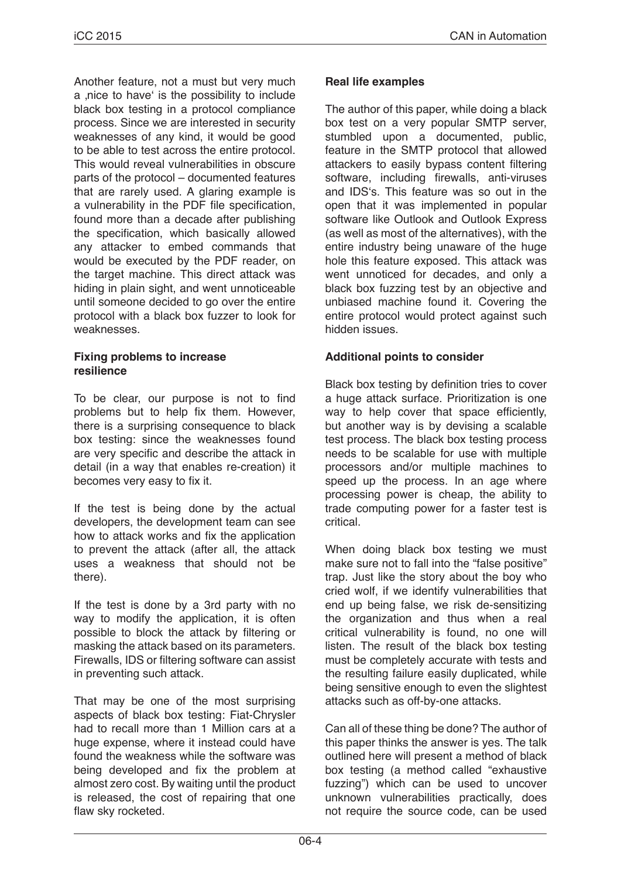Another feature, not a must but very much a ,nice to have' is the possibility to include black box testing in a protocol compliance process. Since we are interested in security weaknesses of any kind, it would be good to be able to test across the entire protocol. This would reveal vulnerabilities in obscure parts of the protocol – documented features that are rarely used. A glaring example is a vulnerability in the PDF file specification, found more than a decade after publishing the specification, which basically allowed any attacker to embed commands that would be executed by the PDF reader, on the target machine. This direct attack was hiding in plain sight, and went unnoticeable until someone decided to go over the entire protocol with a black box fuzzer to look for weaknesses.

#### **Fixing problems to increase resilience**

To be clear, our purpose is not to find problems but to help fix them. However, there is a surprising consequence to black box testing: since the weaknesses found are very specific and describe the attack in detail (in a way that enables re-creation) it becomes very easy to fix it.

If the test is being done by the actual developers, the development team can see how to attack works and fix the application to prevent the attack (after all, the attack uses a weakness that should not be there).

If the test is done by a 3rd party with no way to modify the application, it is often possible to block the attack by filtering or masking the attack based on its parameters. Firewalls, IDS or filtering software can assist in preventing such attack.

That may be one of the most surprising aspects of black box testing: Fiat-Chrysler had to recall more than 1 Million cars at a huge expense, where it instead could have found the weakness while the software was being developed and fix the problem at almost zero cost. By waiting until the product is released, the cost of repairing that one flaw sky rocketed.

## **Real life examples**

The author of this paper, while doing a black box test on a very popular SMTP server, stumbled upon a documented, public, feature in the SMTP protocol that allowed attackers to easily bypass content filtering software, including firewalls, anti-viruses and IDS's. This feature was so out in the open that it was implemented in popular software like Outlook and Outlook Express (as well as most of the alternatives), with the entire industry being unaware of the huge hole this feature exposed. This attack was went unnoticed for decades, and only a black box fuzzing test by an objective and unbiased machine found it. Covering the entire protocol would protect against such hidden issues.

## **Additional points to consider**

Black box testing by definition tries to cover a huge attack surface. Prioritization is one way to help cover that space efficiently, but another way is by devising a scalable test process. The black box testing process needs to be scalable for use with multiple processors and/or multiple machines to speed up the process. In an age where processing power is cheap, the ability to trade computing power for a faster test is critical.

When doing black box testing we must make sure not to fall into the "false positive" trap. Just like the story about the boy who cried wolf, if we identify vulnerabilities that end up being false, we risk de-sensitizing the organization and thus when a real critical vulnerability is found, no one will listen. The result of the black box testing must be completely accurate with tests and the resulting failure easily duplicated, while being sensitive enough to even the slightest attacks such as off-by-one attacks.

Can all of these thing be done? The author of this paper thinks the answer is yes. The talk outlined here will present a method of black box testing (a method called "exhaustive fuzzing") which can be used to uncover unknown vulnerabilities practically, does not require the source code, can be used